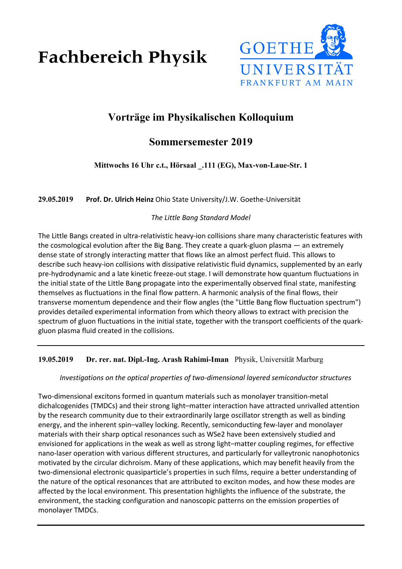**Fachbereich Physik** 



# **Vorträge im Physikalischen Kolloquium**

## **Sommersemester 2019**

**Mittwochs 16 Uhr c.t., Hörsaal \_.111 (EG), Max-von-Laue-Str. 1**

**29.05.2019 Prof. Dr. Ulrich Heinz** Ohio State University/J.W. Goethe-Universität

## *The Little Bang Standard Model*

The Little Bangs created in ultra-relativistic heavy-ion collisions share many characteristic features with the cosmological evolution after the Big Bang. They create a quark-gluon plasma — an extremely dense state of strongly interacting matter that flows like an almost perfect fluid. This allows to describe such heavy-ion collisions with dissipative relativistic fluid dynamics, supplemented by an early pre-hydrodynamic and a late kinetic freeze-out stage. I will demonstrate how quantum fluctuations in the initial state of the Little Bang propagate into the experimentally observed final state, manifesting themselves as fluctuations in the final flow pattern. A harmonic analysis of the final flows, their transverse momentum dependence and their flow angles (the "Little Bang flow fluctuation spectrum") provides detailed experimental information from which theory allows to extract with precision the spectrum of gluon fluctuations in the initial state, together with the transport coefficients of the quarkgluon plasma fluid created in the collisions.

## **19.05.2019 Dr. rer. nat. Dipl.-Ing. Arash Rahimi-Iman** Physik, Universität Marburg

### *Investigations on the optical properties of two-dimensional layered semiconductor structures*

Two-dimensional excitons formed in quantum materials such as monolayer transition-metal dichalcogenides (TMDCs) and their strong light–matter interaction have attracted unrivalled attention by the research community due to their extraordinarily large oscillator strength as well as binding energy, and the inherent spin–valley locking. Recently, semiconducting few-layer and monolayer materials with their sharp optical resonances such as WSe2 have been extensively studied and envisioned for applications in the weak as well as strong light–matter coupling regimes, for effective nano-laser operation with various different structures, and particularly for valleytronic nanophotonics motivated by the circular dichroism. Many of these applications, which may benefit heavily from the two-dimensional electronic quasiparticle's properties in such films, require a better understanding of the nature of the optical resonances that are attributed to exciton modes, and how these modes are affected by the local environment. This presentation highlights the influence of the substrate, the environment, the stacking configuration and nanoscopic patterns on the emission properties of monolayer TMDCs.